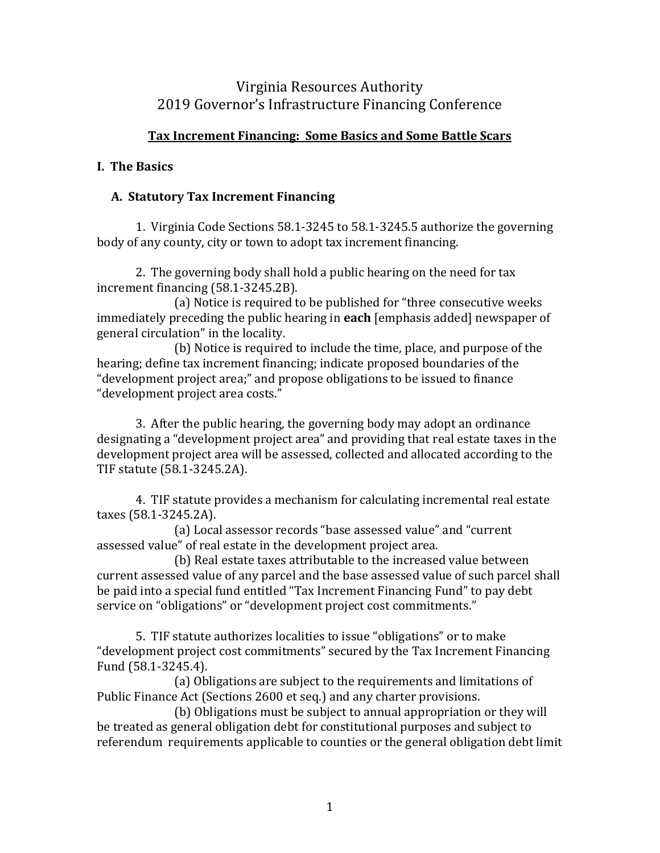# Virginia Resources Authority 2019 Governor's Infrastructure Financing Conference

# **Tax Increment Financing: Some Basics and Some Battle Scars**

# **I. The Basics**

### **A. Statutory Tax Increment Financing**

1. Virginia Code Sections 58.1-3245 to 58.1-3245.5 authorize the governing body of any county, city or town to adopt tax increment financing.

2. The governing body shall hold a public hearing on the need for tax increment financing (58.1-3245.2B).

(a) Notice is required to be published for "three consecutive weeks immediately preceding the public hearing in **each** [emphasis added] newspaper of general circulation" in the locality.

(b) Notice is required to include the time, place, and purpose of the hearing; define tax increment financing; indicate proposed boundaries of the "development project area;" and propose obligations to be issued to finance "development project area costs."

3. After the public hearing, the governing body may adopt an ordinance designating a "development project area" and providing that real estate taxes in the development project area will be assessed, collected and allocated according to the TIF statute (58.1-3245.2A).

4. TIF statute provides a mechanism for calculating incremental real estate taxes (58.1-3245.2A).

(a) Local assessor records "base assessed value" and "current assessed value" of real estate in the development project area.

(b) Real estate taxes attributable to the increased value between current assessed value of any parcel and the base assessed value of such parcel shall be paid into a special fund entitled "Tax Increment Financing Fund" to pay debt service on "obligations" or "development project cost commitments."

5. TIF statute authorizes localities to issue "obligations" or to make "development project cost commitments" secured by the Tax Increment Financing Fund (58.1-3245.4).

(a) Obligations are subject to the requirements and limitations of Public Finance Act (Sections 2600 et seq.) and any charter provisions.

(b) Obligations must be subject to annual appropriation or they will be treated as general obligation debt for constitutional purposes and subject to referendum requirements applicable to counties or the general obligation debt limit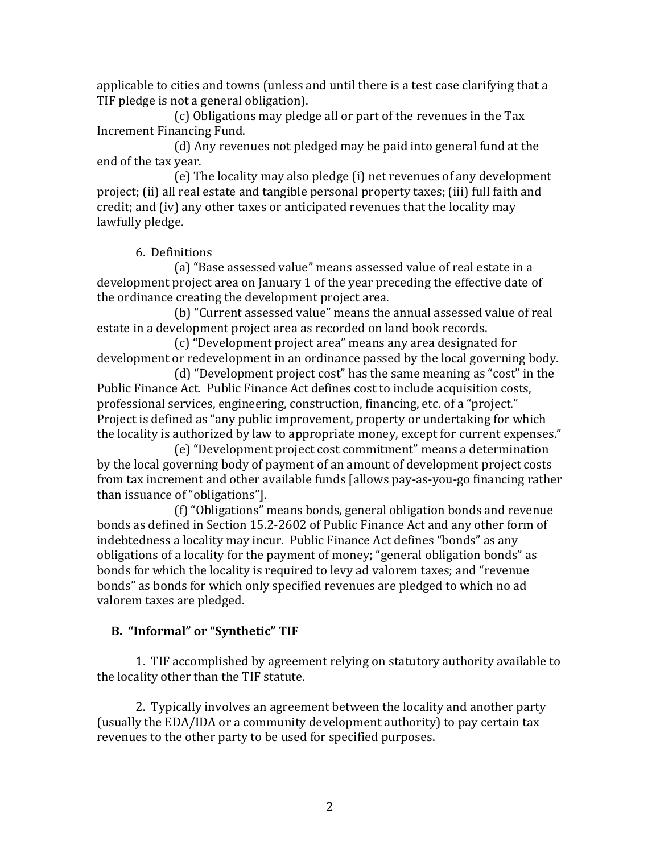applicable to cities and towns (unless and until there is a test case clarifying that a TIF pledge is not a general obligation).

(c) Obligations may pledge all or part of the revenues in the Tax Increment Financing Fund.

(d) Any revenues not pledged may be paid into general fund at the end of the tax year.

(e) The locality may also pledge (i) net revenues of any development project; (ii) all real estate and tangible personal property taxes; (iii) full faith and credit; and (iv) any other taxes or anticipated revenues that the locality may lawfully pledge.

6. Definitions

(a) "Base assessed value" means assessed value of real estate in a development project area on January 1 of the year preceding the effective date of the ordinance creating the development project area.

(b) "Current assessed value" means the annual assessed value of real estate in a development project area as recorded on land book records.

(c) "Development project area" means any area designated for development or redevelopment in an ordinance passed by the local governing body.

(d) "Development project cost" has the same meaning as "cost" in the Public Finance Act. Public Finance Act defines cost to include acquisition costs, professional services, engineering, construction, financing, etc. of a "project." Project is defined as "any public improvement, property or undertaking for which the locality is authorized by law to appropriate money, except for current expenses."

(e) "Development project cost commitment" means a determination by the local governing body of payment of an amount of development project costs from tax increment and other available funds [allows pay-as-you-go financing rather than issuance of "obligations"].

(f) "Obligations" means bonds, general obligation bonds and revenue bonds as defined in Section 15.2-2602 of Public Finance Act and any other form of indebtedness a locality may incur. Public Finance Act defines "bonds" as any obligations of a locality for the payment of money; "general obligation bonds" as bonds for which the locality is required to levy ad valorem taxes; and "revenue bonds" as bonds for which only specified revenues are pledged to which no ad valorem taxes are pledged.

# **B. "Informal" or "Synthetic" TIF**

1. TIF accomplished by agreement relying on statutory authority available to the locality other than the TIF statute.

2. Typically involves an agreement between the locality and another party (usually the EDA/IDA or a community development authority) to pay certain tax revenues to the other party to be used for specified purposes.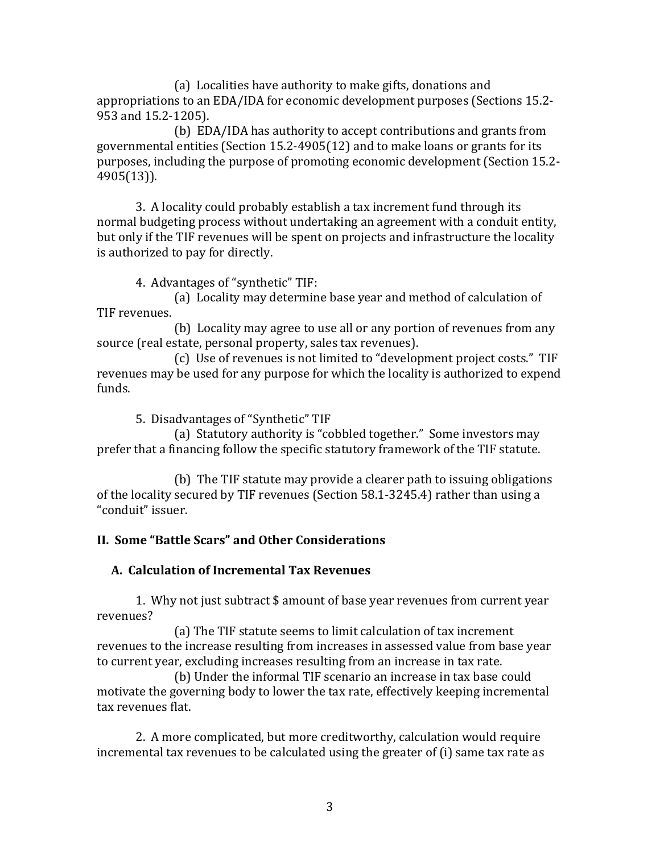(a) Localities have authority to make gifts, donations and appropriations to an EDA/IDA for economic development purposes (Sections 15.2- 953 and 15.2-1205).

(b) EDA/IDA has authority to accept contributions and grants from governmental entities (Section 15.2-4905(12) and to make loans or grants for its purposes, including the purpose of promoting economic development (Section 15.2- 4905(13)).

3. A locality could probably establish a tax increment fund through its normal budgeting process without undertaking an agreement with a conduit entity, but only if the TIF revenues will be spent on projects and infrastructure the locality is authorized to pay for directly.

4. Advantages of "synthetic" TIF:

(a) Locality may determine base year and method of calculation of TIF revenues.

(b) Locality may agree to use all or any portion of revenues from any source (real estate, personal property, sales tax revenues).

(c) Use of revenues is not limited to "development project costs." TIF revenues may be used for any purpose for which the locality is authorized to expend funds.

5. Disadvantages of "Synthetic" TIF

(a) Statutory authority is "cobbled together." Some investors may prefer that a financing follow the specific statutory framework of the TIF statute.

(b) The TIF statute may provide a clearer path to issuing obligations of the locality secured by TIF revenues (Section 58.1-3245.4) rather than using a "conduit" issuer.

# **II. Some "Battle Scars" and Other Considerations**

# **A. Calculation of Incremental Tax Revenues**

1. Why not just subtract \$ amount of base year revenues from current year revenues?

(a) The TIF statute seems to limit calculation of tax increment revenues to the increase resulting from increases in assessed value from base year to current year, excluding increases resulting from an increase in tax rate.

(b) Under the informal TIF scenario an increase in tax base could motivate the governing body to lower the tax rate, effectively keeping incremental tax revenues flat.

2. A more complicated, but more creditworthy, calculation would require incremental tax revenues to be calculated using the greater of (i) same tax rate as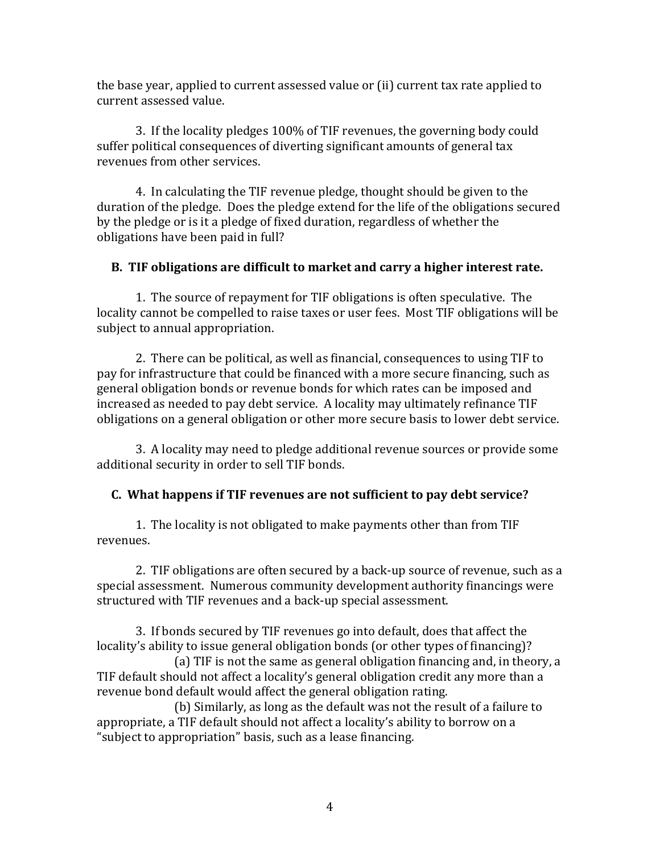the base year, applied to current assessed value or (ii) current tax rate applied to current assessed value.

3. If the locality pledges 100% of TIF revenues, the governing body could suffer political consequences of diverting significant amounts of general tax revenues from other services.

4. In calculating the TIF revenue pledge, thought should be given to the duration of the pledge. Does the pledge extend for the life of the obligations secured by the pledge or is it a pledge of fixed duration, regardless of whether the obligations have been paid in full?

### **B. TIF obligations are difficult to market and carry a higher interest rate.**

1. The source of repayment for TIF obligations is often speculative. The locality cannot be compelled to raise taxes or user fees. Most TIF obligations will be subject to annual appropriation.

2. There can be political, as well as financial, consequences to using TIF to pay for infrastructure that could be financed with a more secure financing, such as general obligation bonds or revenue bonds for which rates can be imposed and increased as needed to pay debt service. A locality may ultimately refinance TIF obligations on a general obligation or other more secure basis to lower debt service.

3. A locality may need to pledge additional revenue sources or provide some additional security in order to sell TIF bonds.

# **C. What happens if TIF revenues are not sufficient to pay debt service?**

1. The locality is not obligated to make payments other than from TIF revenues.

2. TIF obligations are often secured by a back-up source of revenue, such as a special assessment. Numerous community development authority financings were structured with TIF revenues and a back-up special assessment.

3. If bonds secured by TIF revenues go into default, does that affect the locality's ability to issue general obligation bonds (or other types of financing)?

(a) TIF is not the same as general obligation financing and, in theory, a TIF default should not affect a locality's general obligation credit any more than a revenue bond default would affect the general obligation rating.

(b) Similarly, as long as the default was not the result of a failure to appropriate, a TIF default should not affect a locality's ability to borrow on a "subject to appropriation" basis, such as a lease financing.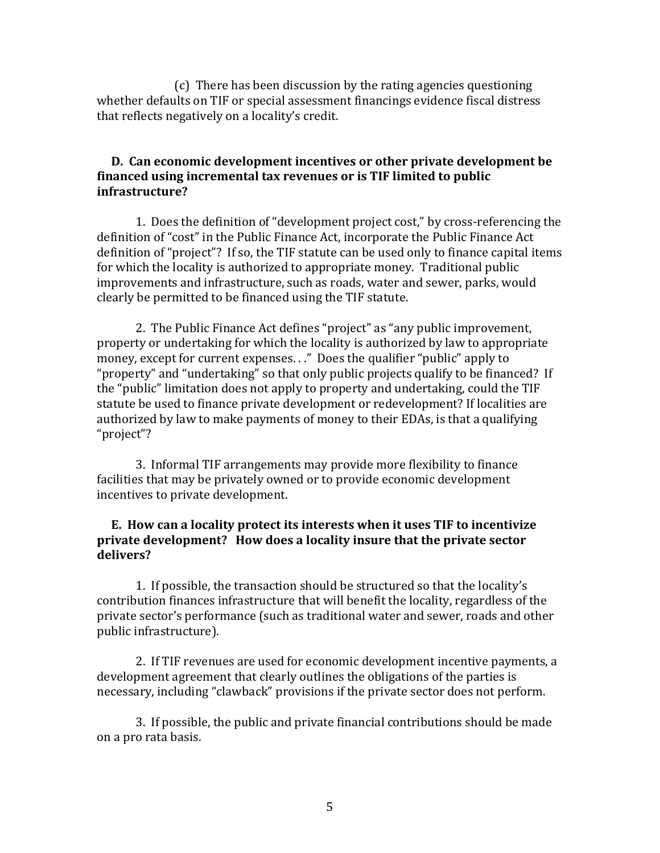(c) There has been discussion by the rating agencies questioning whether defaults on TIF or special assessment financings evidence fiscal distress that reflects negatively on a locality's credit.

### **D. Can economic development incentives or other private development be financed using incremental tax revenues or is TIF limited to public infrastructure?**

1. Does the definition of "development project cost," by cross-referencing the definition of "cost" in the Public Finance Act, incorporate the Public Finance Act definition of "project"? If so, the TIF statute can be used only to finance capital items for which the locality is authorized to appropriate money. Traditional public improvements and infrastructure, such as roads, water and sewer, parks, would clearly be permitted to be financed using the TIF statute.

2. The Public Finance Act defines "project" as "any public improvement, property or undertaking for which the locality is authorized by law to appropriate money, except for current expenses. . ." Does the qualifier "public" apply to "property" and "undertaking" so that only public projects qualify to be financed? If the "public" limitation does not apply to property and undertaking, could the TIF statute be used to finance private development or redevelopment? If localities are authorized by law to make payments of money to their EDAs, is that a qualifying "project"?

3. Informal TIF arrangements may provide more flexibility to finance facilities that may be privately owned or to provide economic development incentives to private development.

### **E. How can a locality protect its interests when it uses TIF to incentivize private development? How does a locality insure that the private sector delivers?**

1. If possible, the transaction should be structured so that the locality's contribution finances infrastructure that will benefit the locality, regardless of the private sector's performance (such as traditional water and sewer, roads and other public infrastructure).

2. If TIF revenues are used for economic development incentive payments, a development agreement that clearly outlines the obligations of the parties is necessary, including "clawback" provisions if the private sector does not perform.

3. If possible, the public and private financial contributions should be made on a pro rata basis.